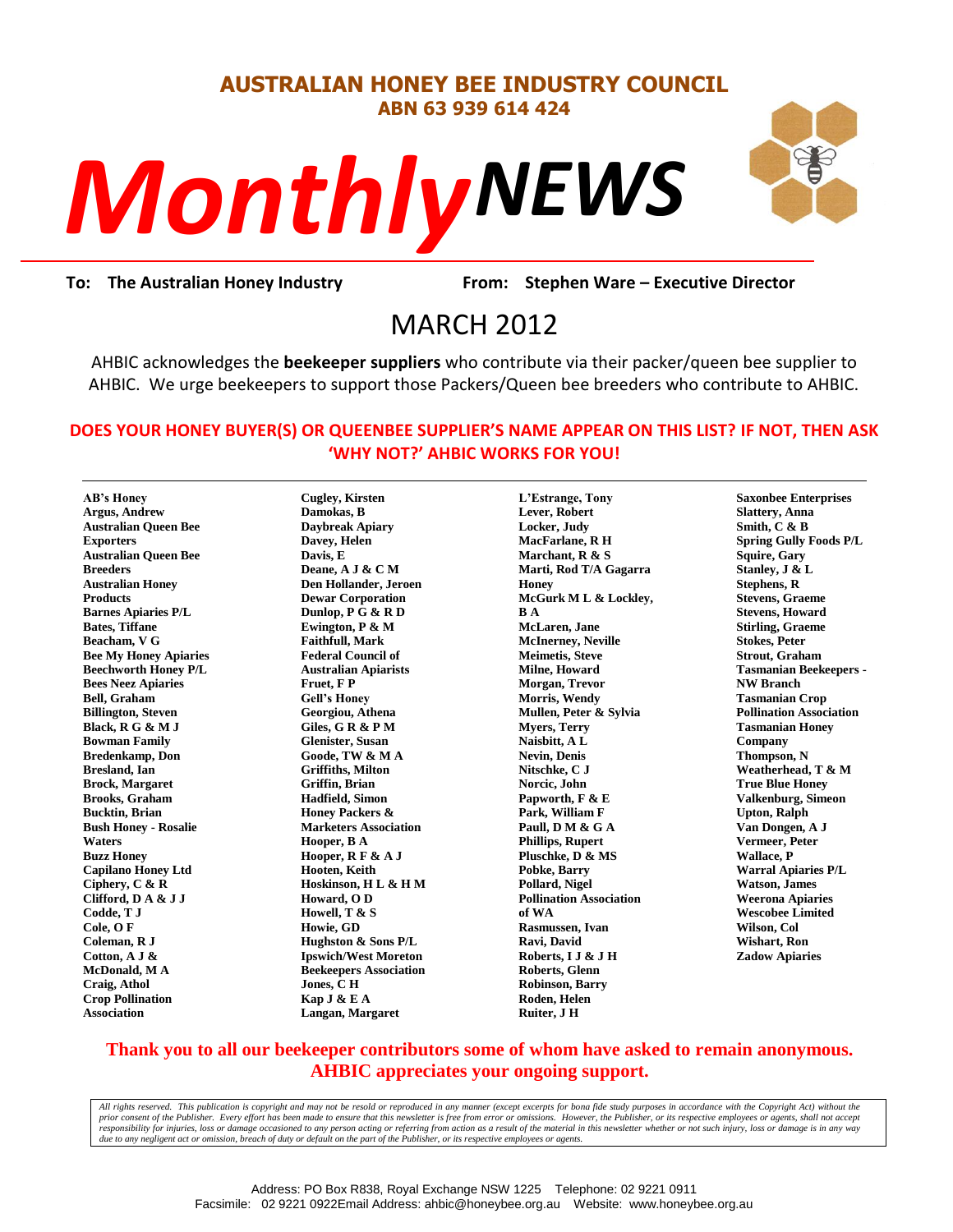#### **AUSTRALIAN HONEY BEE INDUSTRY COUNCIL ABN 63 939 614 424**





**To: The Australian Honey Industry From: Stephen Ware – Executive Director**

# From: Stephe<br>MARCH 2012

AHBIC acknowledges the **beekeeper suppliers** who contribute via their packer/queen bee supplier to AHBIC. We urge beekeepers to support those Packers/Queen bee breeders who contribute to AHBIC.

#### **DOES YOUR HONEY BUYER(S) OR QUEENBEE SUPPLIER'S NAME APPEAR ON THIS LIST? IF NOT, THEN ASK 'WHY NOT?' AHBIC WORKS FOR YOU!**

**AB's Honey Argus, Andrew Australian Queen Bee Exporters Australian Queen Bee Breeders Australian Honey Products Barnes Apiaries P/L Bates, Tiffane Beacham, V G Bee My Honey Apiaries Beechworth Honey P/L Bees Neez Apiaries Bell, Graham Billington, Steven Black, R G & M J Bowman Family Bredenkamp, Don Bresland, Ian Brock, Margaret Brooks, Graham Bucktin, Brian Bush Honey - Rosalie Waters Buzz Honey Capilano Honey Ltd Ciphery, C & R Clifford, D A & J J Codde, T J Cole, O F Coleman, R J Cotton, A J & McDonald, M A Craig, Athol Crop Pollination Association**

**Cugley, Kirsten Damokas, B Daybreak Apiary Davey, Helen Davis, E Deane, A J & C M Den Hollander, Jeroen Dewar Corporation Dunlop, P G & R D Ewington, P & M Faithfull, Mark Federal Council of Australian Apiarists Fruet, F P Gell's Honey Georgiou, Athena Giles, G R & P M Glenister, Susan Goode, TW & M A Griffiths, Milton Griffin, Brian Hadfield, Simon Honey Packers & Marketers Association Hooper, B A Hooper, R F & A J Hooten, Keith Hoskinson, H L & H M Howard, O D Howell, T & S Howie, GD Hughston & Sons P/L Ipswich/West Moreton Beekeepers Association Jones, C H Kap J & E A Langan, Margaret**

**L'Estrange, Tony Lever, Robert Locker, Judy MacFarlane, R H Marchant, R & S Marti, Rod T/A Gagarra Honey McGurk M L & Lockley, B A McLaren, Jane McInerney, Neville Meimetis, Steve Milne, Howard Morgan, Trevor Morris, Wendy Mullen, Peter & Sylvia Myers, Terry Naisbitt, A L Nevin, Denis Nitschke, C J Norcic, John Papworth, F & E Park, William F Paull, D M & G A Phillips, Rupert Pluschke, D & MS Pobke, Barry Pollard, Nigel Pollination Association of WA Rasmussen, Ivan Ravi, David Roberts, I J & J H Roberts, Glenn Robinson, Barry Roden, Helen Ruiter, J H**

**Saxonbee Enterprises Slattery, Anna Smith, C & B Spring Gully Foods P/L Squire, Gary Stanley, J & L Stephens, R Stevens, Graeme Stevens, Howard Stirling, Graeme Stokes, Peter Strout, Graham Tasmanian Beekeepers - NW Branch Tasmanian Crop Pollination Association Tasmanian Honey Company Thompson, N Weatherhead, T & M True Blue Honey Valkenburg, Simeon Upton, Ralph Van Dongen, A J Vermeer, Peter Wallace, P Warral Apiaries P/L Watson, James Weerona Apiaries Wescobee Limited Wilson, Col Wishart, Ron Zadow Apiaries**

#### **Thank you to all our beekeeper contributors some of whom have asked to remain anonymous. AHBIC appreciates your ongoing support.**

*All rights reserved. This publication is copyright and may not be resold or reproduced in any manner (except excerpts for bona fide study purposes in accordance with the Copyright Act) without the*  prior consent of the Publisher. Every effort has been made to ensure that this newsletter is free from error or omissions. However, the Publisher, or its respective employees or agents, shall not accept responsibility for injuries, loss or damage occasioned to any person acting or referring from action as a result of the material in this newsletter whether or not such injury, loss or damage is in any way<br>due to any neglig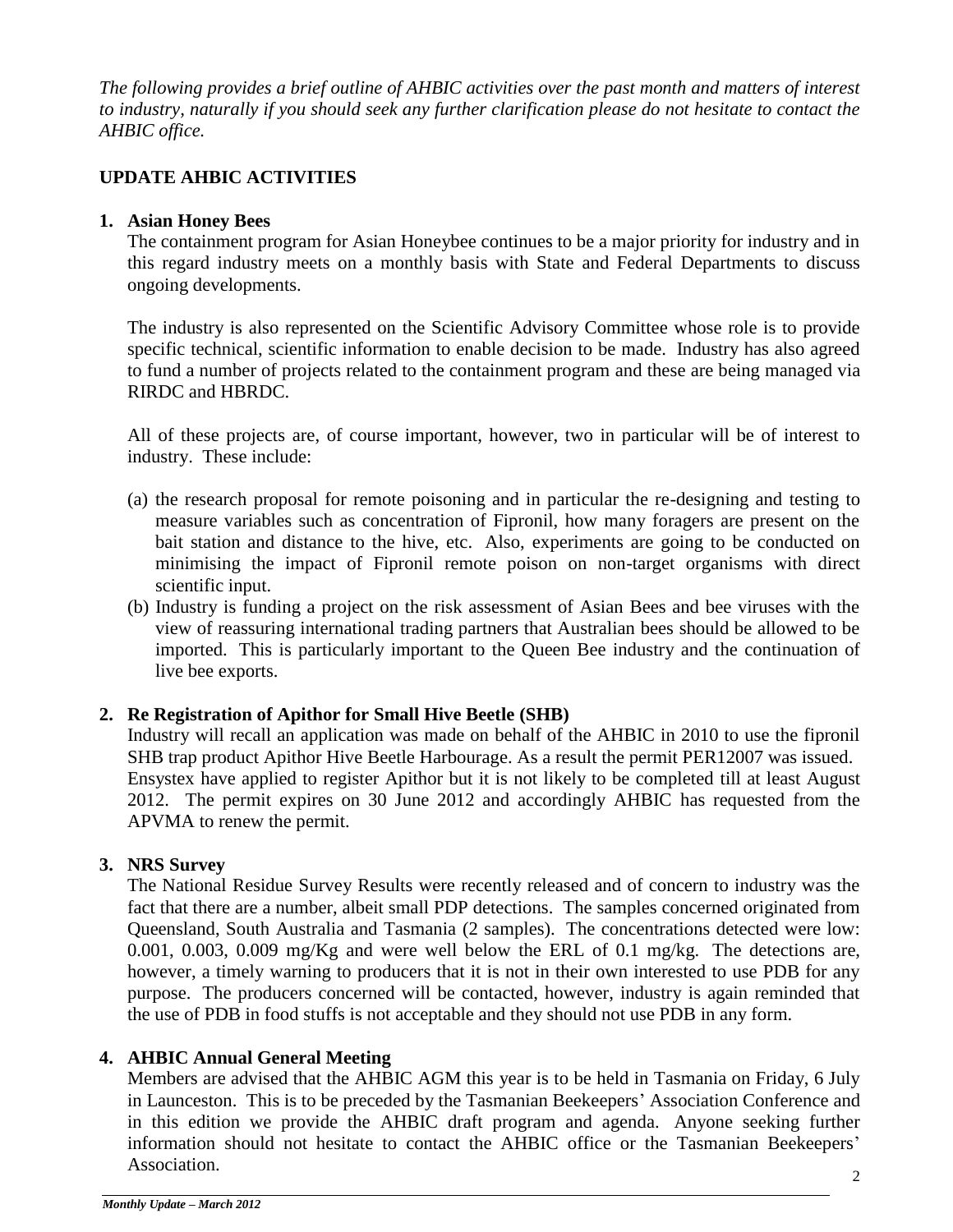*The following provides a brief outline of AHBIC activities over the past month and matters of interest to industry, naturally if you should seek any further clarification please do not hesitate to contact the AHBIC office.*

# **UPDATE AHBIC ACTIVITIES**

### **1. Asian Honey Bees**

The containment program for Asian Honeybee continues to be a major priority for industry and in this regard industry meets on a monthly basis with State and Federal Departments to discuss ongoing developments.

The industry is also represented on the Scientific Advisory Committee whose role is to provide specific technical, scientific information to enable decision to be made. Industry has also agreed to fund a number of projects related to the containment program and these are being managed via RIRDC and HBRDC.

All of these projects are, of course important, however, two in particular will be of interest to industry. These include:

- (a) the research proposal for remote poisoning and in particular the re-designing and testing to measure variables such as concentration of Fipronil, how many foragers are present on the bait station and distance to the hive, etc. Also, experiments are going to be conducted on minimising the impact of Fipronil remote poison on non-target organisms with direct scientific input.
- (b) Industry is funding a project on the risk assessment of Asian Bees and bee viruses with the view of reassuring international trading partners that Australian bees should be allowed to be imported. This is particularly important to the Queen Bee industry and the continuation of live bee exports.

#### **2. Re Registration of Apithor for Small Hive Beetle (SHB)**

Industry will recall an application was made on behalf of the AHBIC in 2010 to use the fipronil SHB trap product Apithor Hive Beetle Harbourage. As a result the permit PER12007 was issued. Ensystex have applied to register Apithor but it is not likely to be completed till at least August 2012. The permit expires on 30 June 2012 and accordingly AHBIC has requested from the APVMA to renew the permit.

# **3. NRS Survey**

The National Residue Survey Results were recently released and of concern to industry was the fact that there are a number, albeit small PDP detections. The samples concerned originated from Queensland, South Australia and Tasmania (2 samples). The concentrations detected were low: 0.001, 0.003, 0.009 mg/Kg and were well below the ERL of 0.1 mg/kg. The detections are, however, a timely warning to producers that it is not in their own interested to use PDB for any purpose. The producers concerned will be contacted, however, industry is again reminded that the use of PDB in food stuffs is not acceptable and they should not use PDB in any form.

# **4. AHBIC Annual General Meeting**

Members are advised that the AHBIC AGM this year is to be held in Tasmania on Friday, 6 July in Launceston. This is to be preceded by the Tasmanian Beekeepers' Association Conference and in this edition we provide the AHBIC draft program and agenda. Anyone seeking further information should not hesitate to contact the AHBIC office or the Tasmanian Beekeepers' Association.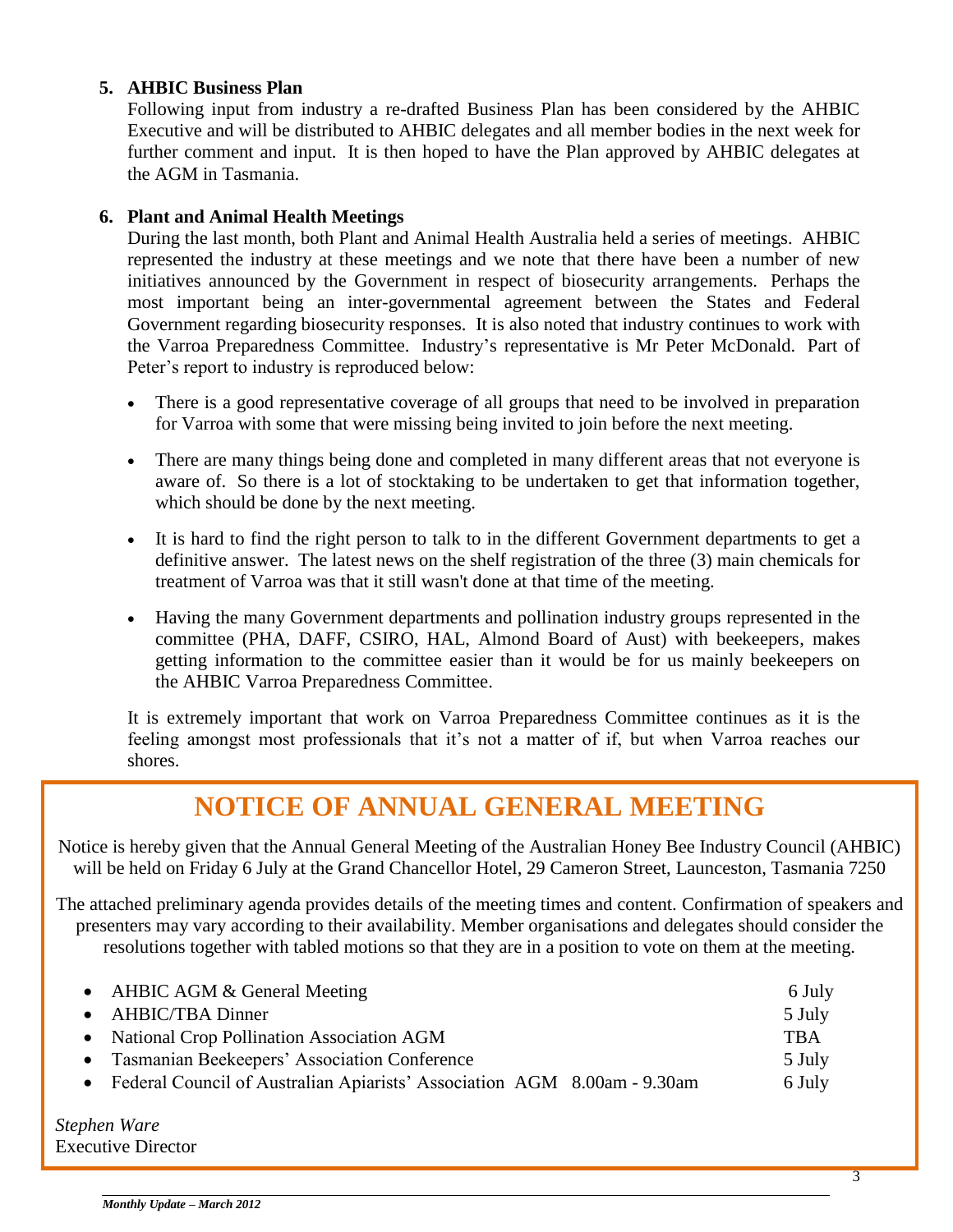#### **5. AHBIC Business Plan**

Following input from industry a re-drafted Business Plan has been considered by the AHBIC Executive and will be distributed to AHBIC delegates and all member bodies in the next week for further comment and input. It is then hoped to have the Plan approved by AHBIC delegates at the AGM in Tasmania.

#### **6. Plant and Animal Health Meetings**

During the last month, both Plant and Animal Health Australia held a series of meetings. AHBIC represented the industry at these meetings and we note that there have been a number of new initiatives announced by the Government in respect of biosecurity arrangements. Perhaps the most important being an inter-governmental agreement between the States and Federal Government regarding biosecurity responses. It is also noted that industry continues to work with the Varroa Preparedness Committee. Industry's representative is Mr Peter McDonald. Part of Peter's report to industry is reproduced below:

- There is a good representative coverage of all groups that need to be involved in preparation for Varroa with some that were missing being invited to join before the next meeting.
- There are many things being done and completed in many different areas that not everyone is aware of. So there is a lot of stocktaking to be undertaken to get that information together, which should be done by the next meeting.
- It is hard to find the right person to talk to in the different Government departments to get a definitive answer. The latest news on the shelf registration of the three (3) main chemicals for treatment of Varroa was that it still wasn't done at that time of the meeting.
- Having the many Government departments and pollination industry groups represented in the committee (PHA, DAFF, CSIRO, HAL, Almond Board of Aust) with beekeepers, makes getting information to the committee easier than it would be for us mainly beekeepers on the AHBIC Varroa Preparedness Committee.

It is extremely important that work on Varroa Preparedness Committee continues as it is the feeling amongst most professionals that it's not a matter of if, but when Varroa reaches our shores.

# **NOTICE OF ANNUAL GENERAL MEETING**

Notice is hereby given that the Annual General Meeting of the Australian Honey Bee Industry Council (AHBIC) will be held on Friday 6 July at the Grand Chancellor Hotel, 29 Cameron Street, Launceston, Tasmania 7250

The attached preliminary agenda provides details of the meeting times and content. Confirmation of speakers and presenters may vary according to their availability. Member organisations and delegates should consider the resolutions together with tabled motions so that they are in a position to vote on them at the meeting.

| • AHBIC AGM & General Meeting                                              | 6 July     |
|----------------------------------------------------------------------------|------------|
| • AHBIC/TBA Dinner                                                         | 5 July     |
| • National Crop Pollination Association AGM                                | <b>TBA</b> |
| • Tasmanian Beekeepers' Association Conference                             | 5 July     |
| • Federal Council of Australian Apiarists' Association AGM 8.00am - 9.30am | 6 July     |
|                                                                            |            |

*Stephen Ware* Executive Director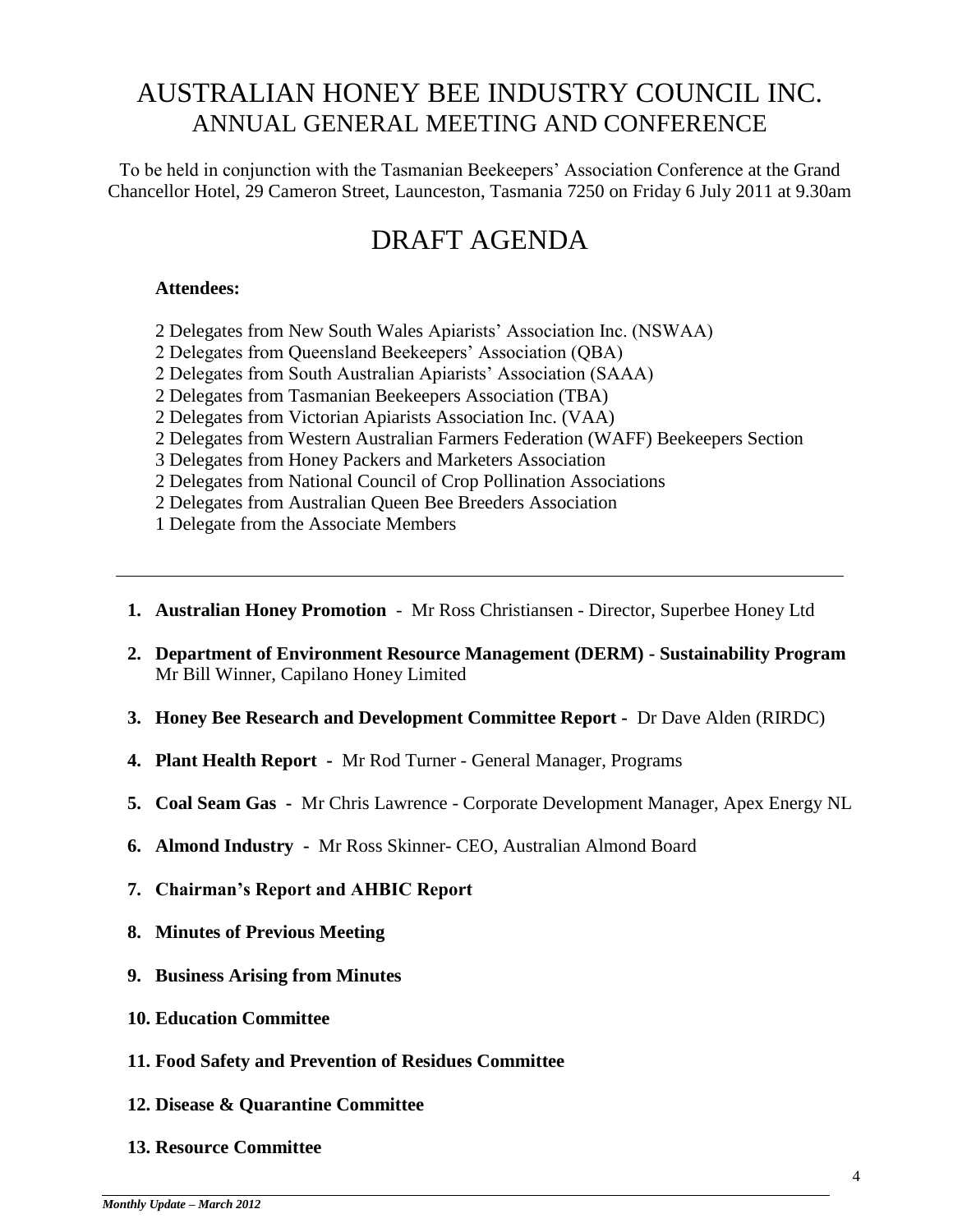# AUSTRALIAN HONEY BEE INDUSTRY COUNCIL INC. ANNUAL GENERAL MEETING AND CONFERENCE

To be held in conjunction with the Tasmanian Beekeepers' Association Conference at the Grand Chancellor Hotel, 29 Cameron Street, Launceston, Tasmania 7250 on Friday 6 July 2011 at 9.30am

# DRAFT AGENDA

#### **Attendees:**

- 2 Delegates from New South Wales Apiarists' Association Inc. (NSWAA)
- 2 Delegates from Queensland Beekeepers' Association (QBA)
- 2 Delegates from South Australian Apiarists' Association (SAAA)
- 2 Delegates from Tasmanian Beekeepers Association (TBA)
- 2 Delegates from Victorian Apiarists Association Inc. (VAA)
- 2 Delegates from Western Australian Farmers Federation (WAFF) Beekeepers Section
- 3 Delegates from Honey Packers and Marketers Association
- 2 Delegates from National Council of Crop Pollination Associations
- 2 Delegates from Australian Queen Bee Breeders Association
- 1 Delegate from the Associate Members
- **1. Australian Honey Promotion**  Mr Ross Christiansen Director, Superbee Honey Ltd
- **2. Department of Environment Resource Management (DERM) - Sustainability Program** Mr Bill Winner, Capilano Honey Limited
- **3. Honey Bee Research and Development Committee Report** Dr Dave Alden (RIRDC)
- **4. Plant Health Report** Mr Rod Turner General Manager, Programs
- **5. Coal Seam Gas** Mr Chris Lawrence Corporate Development Manager, Apex Energy NL
- **6. Almond Industry** Mr Ross Skinner- CEO, Australian Almond Board
- **7. Chairman's Report and AHBIC Report**
- **8. Minutes of Previous Meeting**
- **9. Business Arising from Minutes**
- **10. Education Committee**
- **11. Food Safety and Prevention of Residues Committee**
- **12. Disease & Quarantine Committee**
- **13. Resource Committee**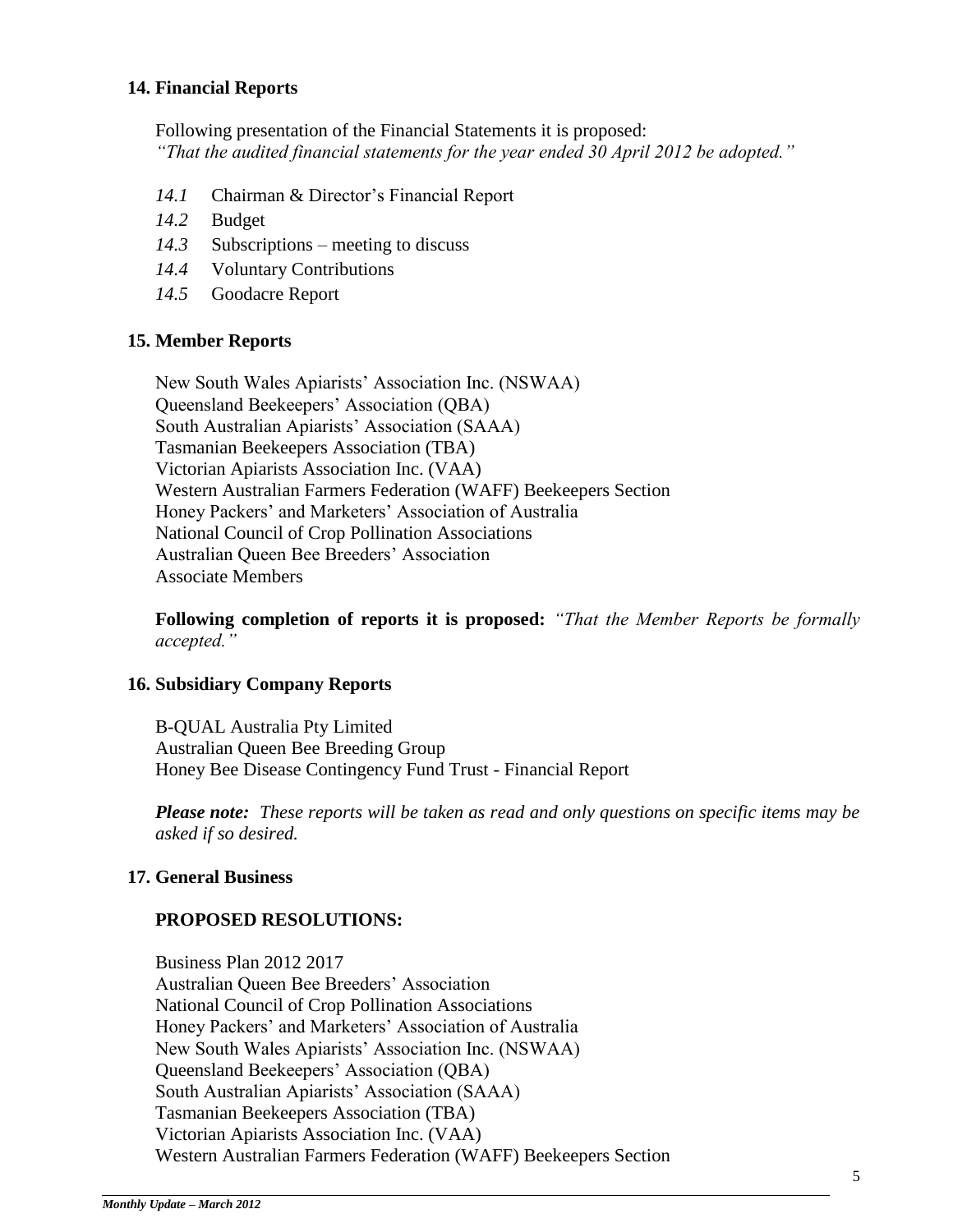#### **14. Financial Reports**

Following presentation of the Financial Statements it is proposed: *"That the audited financial statements for the year ended 30 April 2012 be adopted."*

- *14.1* Chairman & Director's Financial Report
- *14.2* Budget
- *14.3* Subscriptions meeting to discuss
- *14.4* Voluntary Contributions
- *14.5* Goodacre Report

#### **15. Member Reports**

New South Wales Apiarists' Association Inc. (NSWAA) Queensland Beekeepers' Association (QBA) South Australian Apiarists' Association (SAAA) Tasmanian Beekeepers Association (TBA) Victorian Apiarists Association Inc. (VAA) Western Australian Farmers Federation (WAFF) Beekeepers Section Honey Packers' and Marketers' Association of Australia National Council of Crop Pollination Associations Australian Queen Bee Breeders' Association Associate Members

**Following completion of reports it is proposed:** *"That the Member Reports be formally accepted."*

#### **16. Subsidiary Company Reports**

B-QUAL Australia Pty Limited Australian Queen Bee Breeding Group Honey Bee Disease Contingency Fund Trust - Financial Report

*Please note: These reports will be taken as read and only questions on specific items may be asked if so desired.*

#### **17. General Business**

#### **PROPOSED RESOLUTIONS:**

Business Plan 2012 2017 Australian Queen Bee Breeders' Association National Council of Crop Pollination Associations Honey Packers' and Marketers' Association of Australia New South Wales Apiarists' Association Inc. (NSWAA) Queensland Beekeepers' Association (QBA) South Australian Apiarists' Association (SAAA) Tasmanian Beekeepers Association (TBA) Victorian Apiarists Association Inc. (VAA) Western Australian Farmers Federation (WAFF) Beekeepers Section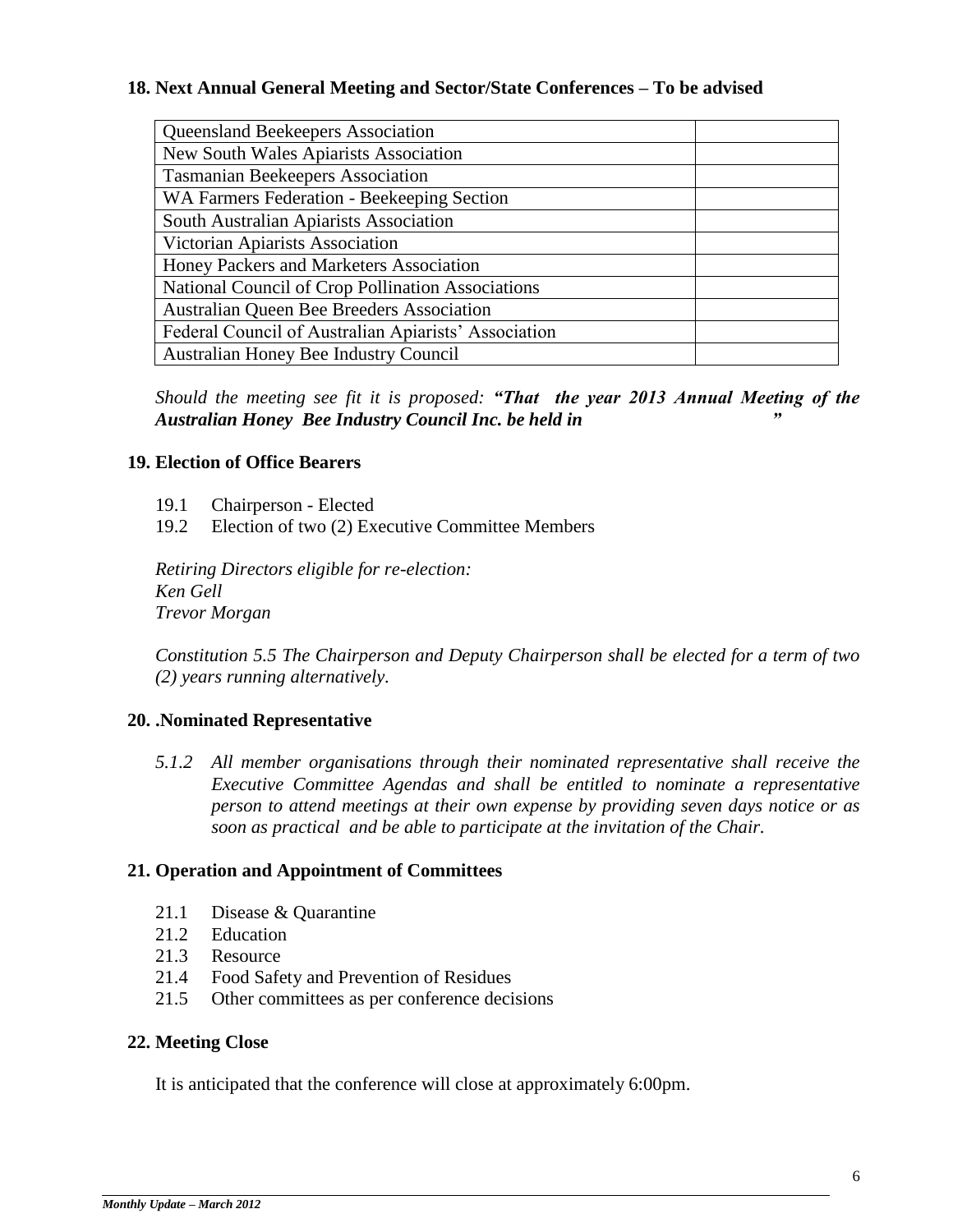#### **18. Next Annual General Meeting and Sector/State Conferences – To be advised**

| <b>Queensland Beekeepers Association</b>             |  |  |
|------------------------------------------------------|--|--|
| New South Wales Apiarists Association                |  |  |
| <b>Tasmanian Beekeepers Association</b>              |  |  |
| WA Farmers Federation - Beekeeping Section           |  |  |
| South Australian Apiarists Association               |  |  |
| Victorian Apiarists Association                      |  |  |
| Honey Packers and Marketers Association              |  |  |
| National Council of Crop Pollination Associations    |  |  |
| Australian Queen Bee Breeders Association            |  |  |
| Federal Council of Australian Apiarists' Association |  |  |
| Australian Honey Bee Industry Council                |  |  |

*Should the meeting see fit it is proposed: "That the year 2013 Annual Meeting of the Australian Honey Bee Industry Council Inc. be held in "*

#### **19. Election of Office Bearers**

- 19.1 Chairperson Elected
- 19.2 Election of two (2) Executive Committee Members

*Retiring Directors eligible for re-election: Ken Gell Trevor Morgan* 

*Constitution 5.5 The Chairperson and Deputy Chairperson shall be elected for a term of two (2) years running alternatively.* 

#### **20. .Nominated Representative**

*5.1.2 All member organisations through their nominated representative shall receive the Executive Committee Agendas and shall be entitled to nominate a representative person to attend meetings at their own expense by providing seven days notice or as soon as practical and be able to participate at the invitation of the Chair.*

#### **21. Operation and Appointment of Committees**

- 21.1 Disease & Quarantine
- 21.2 Education
- 21.3 Resource
- 21.4 Food Safety and Prevention of Residues
- 21.5 Other committees as per conference decisions

#### **22. Meeting Close**

It is anticipated that the conference will close at approximately 6:00pm.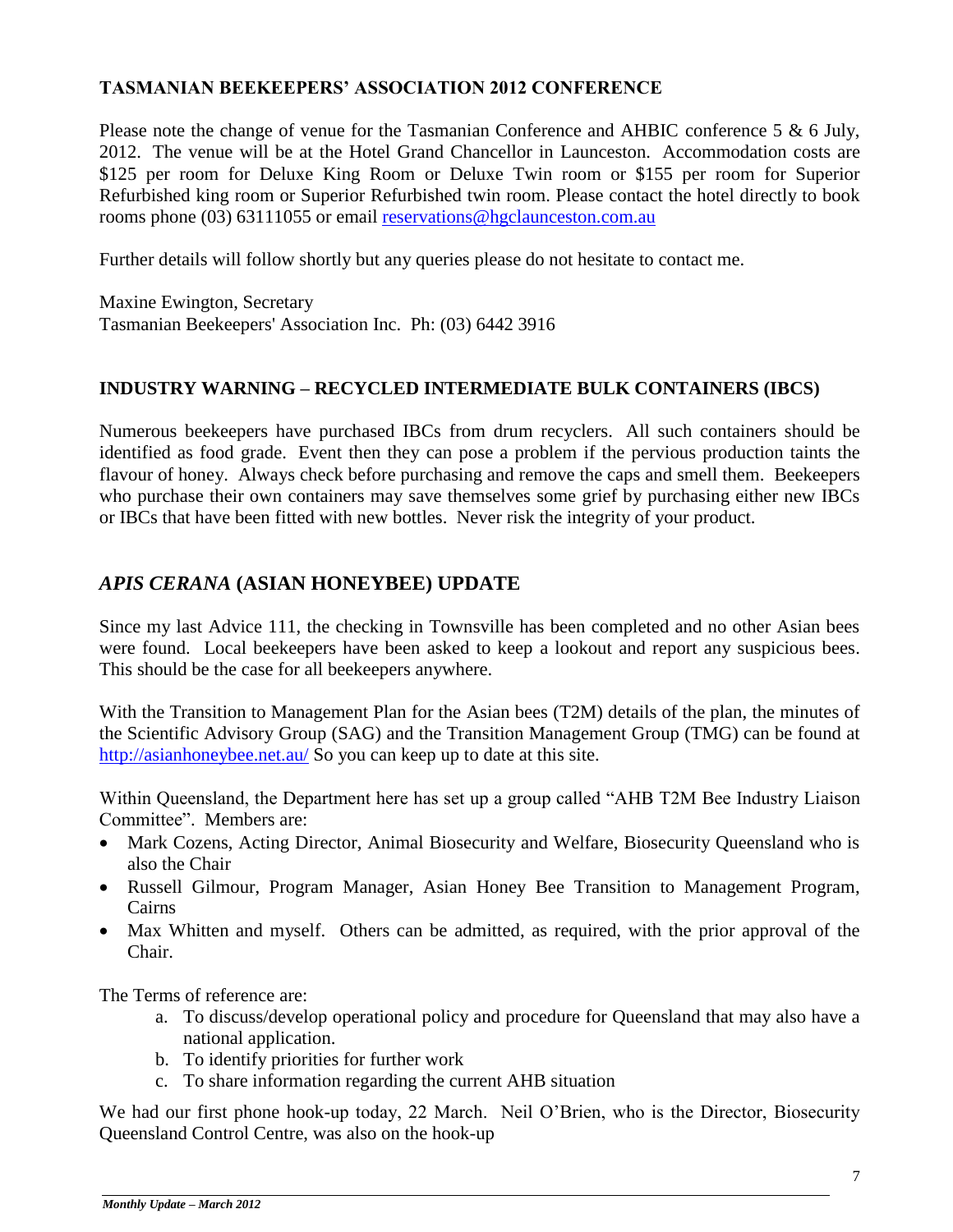#### **TASMANIAN BEEKEEPERS' ASSOCIATION 2012 CONFERENCE**

Please note the change of venue for the Tasmanian Conference and AHBIC conference 5 & 6 July, 2012. The venue will be at the Hotel Grand Chancellor in Launceston. Accommodation costs are \$125 per room for Deluxe King Room or Deluxe Twin room or \$155 per room for Superior Refurbished king room or Superior Refurbished twin room. Please contact the hotel directly to book rooms phone (03) 63111055 or email [reservations@hgclaunceston.com.au](mailto:reservations@hgclaunceston.com.au)

Further details will follow shortly but any queries please do not hesitate to contact me.

Maxine Ewington, Secretary Tasmanian Beekeepers' Association Inc. Ph: (03) 6442 3916

# **INDUSTRY WARNING – RECYCLED INTERMEDIATE BULK CONTAINERS (IBCS)**

Numerous beekeepers have purchased IBCs from drum recyclers. All such containers should be identified as food grade. Event then they can pose a problem if the pervious production taints the flavour of honey. Always check before purchasing and remove the caps and smell them. Beekeepers who purchase their own containers may save themselves some grief by purchasing either new IBCs or IBCs that have been fitted with new bottles. Never risk the integrity of your product.

# *APIS CERANA* **(ASIAN HONEYBEE) UPDATE**

Since my last Advice 111, the checking in Townsville has been completed and no other Asian bees were found. Local beekeepers have been asked to keep a lookout and report any suspicious bees. This should be the case for all beekeepers anywhere.

With the Transition to Management Plan for the Asian bees (T2M) details of the plan, the minutes of the Scientific Advisory Group (SAG) and the Transition Management Group (TMG) can be found at <http://asianhoneybee.net.au/> So you can keep up to date at this site.

Within Queensland, the Department here has set up a group called "AHB T2M Bee Industry Liaison Committee". Members are:

- Mark Cozens, Acting Director, Animal Biosecurity and Welfare, Biosecurity Queensland who is also the Chair
- Russell Gilmour, Program Manager, Asian Honey Bee Transition to Management Program, Cairns
- Max Whitten and myself. Others can be admitted, as required, with the prior approval of the Chair.

The Terms of reference are:

- a. To discuss/develop operational policy and procedure for Queensland that may also have a national application.
- b. To identify priorities for further work
- c. To share information regarding the current AHB situation

We had our first phone hook-up today, 22 March. Neil O'Brien, who is the Director, Biosecurity Queensland Control Centre, was also on the hook-up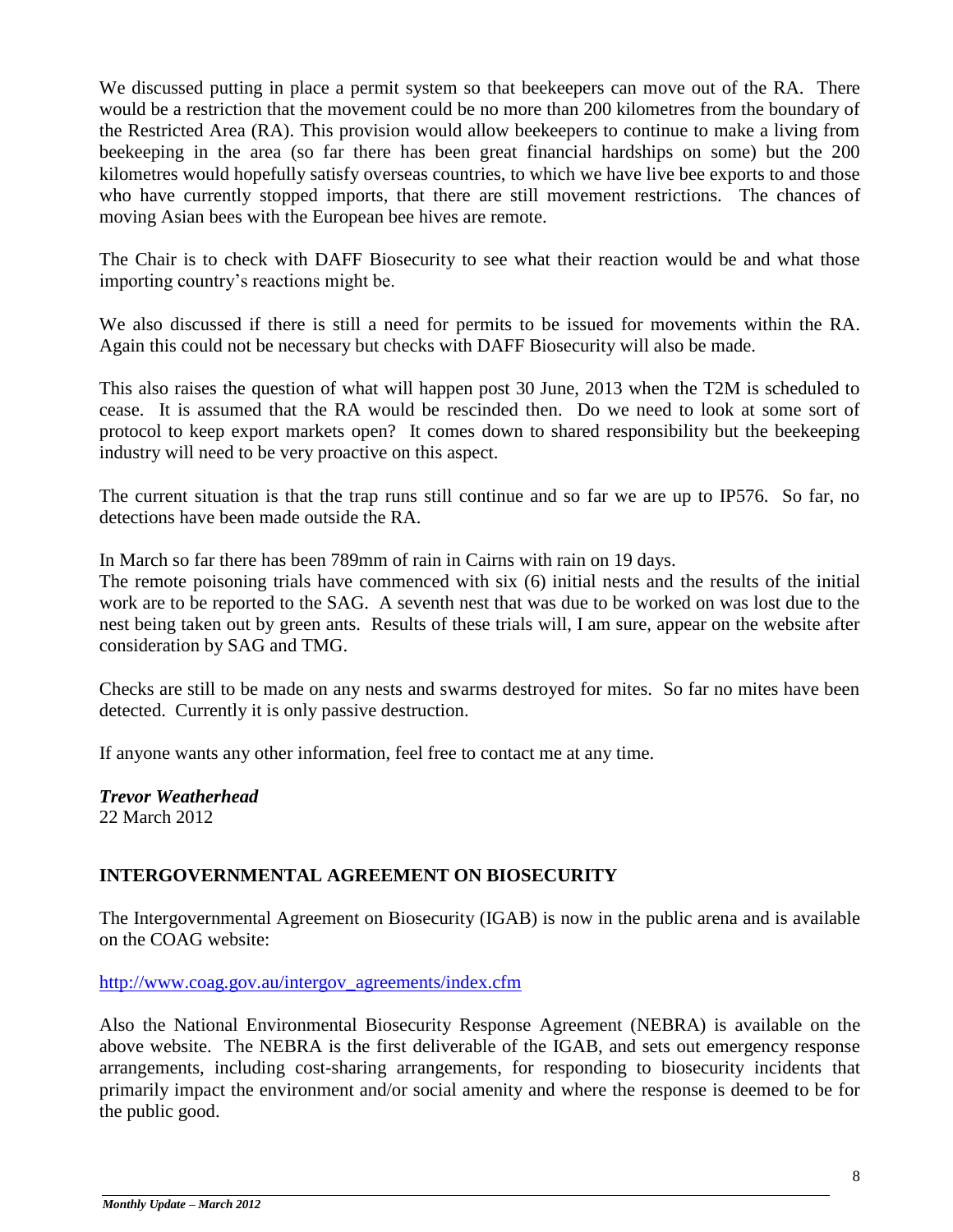We discussed putting in place a permit system so that beekeepers can move out of the RA. There would be a restriction that the movement could be no more than 200 kilometres from the boundary of the Restricted Area (RA). This provision would allow beekeepers to continue to make a living from beekeeping in the area (so far there has been great financial hardships on some) but the 200 kilometres would hopefully satisfy overseas countries, to which we have live bee exports to and those who have currently stopped imports, that there are still movement restrictions. The chances of moving Asian bees with the European bee hives are remote.

The Chair is to check with DAFF Biosecurity to see what their reaction would be and what those importing country's reactions might be.

We also discussed if there is still a need for permits to be issued for movements within the RA. Again this could not be necessary but checks with DAFF Biosecurity will also be made.

This also raises the question of what will happen post 30 June, 2013 when the T2M is scheduled to cease. It is assumed that the RA would be rescinded then. Do we need to look at some sort of protocol to keep export markets open? It comes down to shared responsibility but the beekeeping industry will need to be very proactive on this aspect.

The current situation is that the trap runs still continue and so far we are up to IP576. So far, no detections have been made outside the RA.

In March so far there has been 789mm of rain in Cairns with rain on 19 days.

The remote poisoning trials have commenced with six (6) initial nests and the results of the initial work are to be reported to the SAG. A seventh nest that was due to be worked on was lost due to the nest being taken out by green ants. Results of these trials will, I am sure, appear on the website after consideration by SAG and TMG.

Checks are still to be made on any nests and swarms destroyed for mites. So far no mites have been detected. Currently it is only passive destruction.

If anyone wants any other information, feel free to contact me at any time.

*Trevor Weatherhead*  22 March 2012

# **INTERGOVERNMENTAL AGREEMENT ON BIOSECURITY**

The Intergovernmental Agreement on Biosecurity (IGAB) is now in the public arena and is available on the COAG website:

[http://www.coag.gov.au/intergov\\_agreements/index.cfm](http://www.coag.gov.au/intergov_agreements/index.cfm)

Also the National Environmental Biosecurity Response Agreement (NEBRA) is available on the above website. The NEBRA is the first deliverable of the IGAB, and sets out emergency response arrangements, including cost-sharing arrangements, for responding to biosecurity incidents that primarily impact the environment and/or social amenity and where the response is deemed to be for the public good.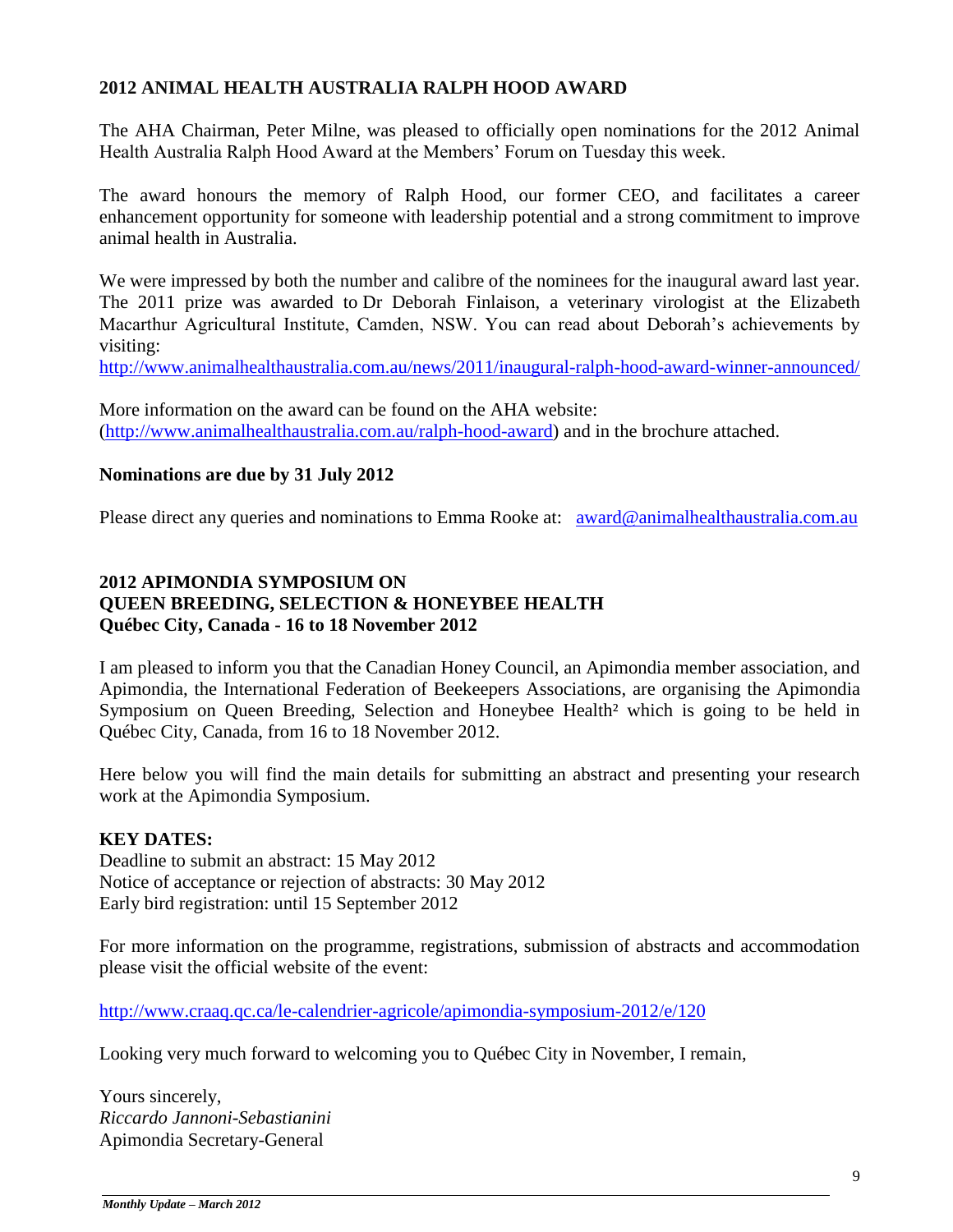#### **2012 ANIMAL HEALTH AUSTRALIA RALPH HOOD AWARD**

The AHA Chairman, Peter Milne, was pleased to officially open nominations for the 2012 Animal Health Australia Ralph Hood Award at the Members' Forum on Tuesday this week.

The award honours the memory of Ralph Hood, our former CEO, and facilitates a career enhancement opportunity for someone with leadership potential and a strong commitment to improve animal health in Australia.

We were impressed by both the number and calibre of the nominees for the inaugural award last year. The 2011 prize was awarded to Dr Deborah Finlaison, a veterinary virologist at the Elizabeth Macarthur Agricultural Institute, Camden, NSW. You can read about Deborah's achievements by visiting:

<http://www.animalhealthaustralia.com.au/news/2011/inaugural-ralph-hood-award-winner-announced/>

More information on the award can be found on the AHA website: [\(http://www.animalhealthaustralia.com.au/ralph-hood-award\)](http://www.animalhealthaustralia.com.au/ralph-hood-award) and in the brochure attached.

#### **Nominations are due by 31 July 2012**

Please direct any queries and nominations to Emma Rooke at: [award@animalhealthaustralia.com.au](mailto:award@animalhealthaustralia.com.au)

#### **2012 APIMONDIA SYMPOSIUM ON QUEEN BREEDING, SELECTION & HONEYBEE HEALTH Québec City, Canada - 16 to 18 November 2012**

I am pleased to inform you that the Canadian Honey Council, an Apimondia member association, and Apimondia, the International Federation of Beekeepers Associations, are organising the Apimondia Symposium on Queen Breeding, Selection and Honeybee Health<sup>2</sup> which is going to be held in Québec City, Canada, from 16 to 18 November 2012.

Here below you will find the main details for submitting an abstract and presenting your research work at the Apimondia Symposium.

#### **KEY DATES:**

Deadline to submit an abstract: 15 May 2012 Notice of acceptance or rejection of abstracts: 30 May 2012 Early bird registration: until 15 September 2012

For more information on the programme, registrations, submission of abstracts and accommodation please visit the official website of the event:

<http://www.craaq.qc.ca/le-calendrier-agricole/apimondia-symposium-2012/e/120>

Looking very much forward to welcoming you to Québec City in November, I remain,

Yours sincerely, *Riccardo Jannoni-Sebastianini* Apimondia Secretary-General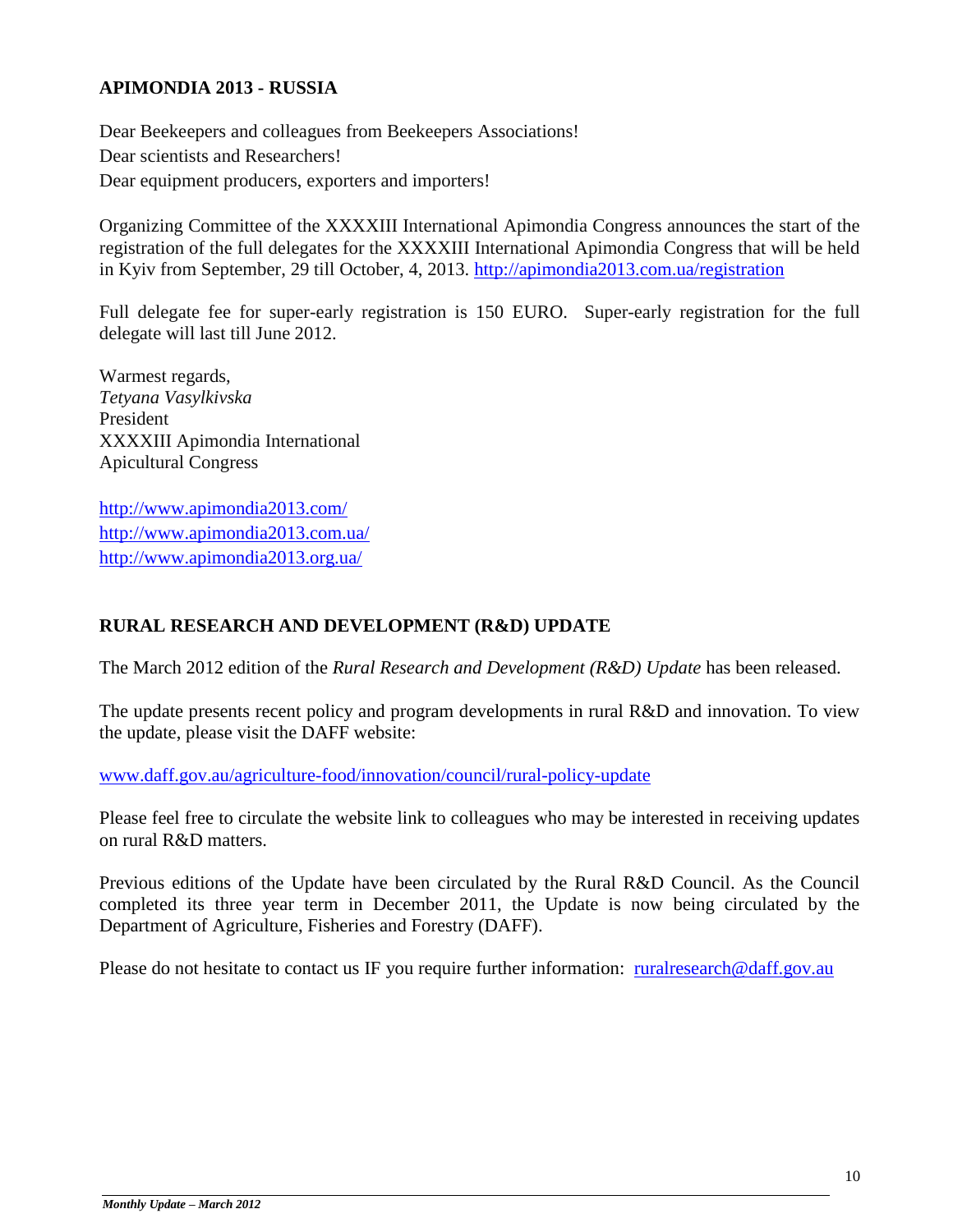#### **APIMONDIA 2013 - RUSSIA**

Dear Beekeepers and colleagues from Beekeepers Associations! Dear scientists and Researchers! Dear equipment producers, exporters and importers!

Organizing Committee of the XXXXIII International Apimondia Congress announces the start of the registration of the full delegates for the XXXXIII International Apimondia Congress that will be held in Kyiv from September, 29 till October, 4, 2013.<http://apimondia2013.com.ua/registration>

Full delegate fee for super-early registration is 150 EURO. Super-early registration for the full delegate will last till June 2012.

Warmest regards, *Tetyana Vasylkivska* President XXXXIII Apimondia International Apicultural Congress

<http://www.apimondia2013.com/> <http://www.apimondia2013.com.ua/> <http://www.apimondia2013.org.ua/>

## **RURAL RESEARCH AND DEVELOPMENT (R&D) UPDATE**

The March 2012 edition of the *Rural Research and Development (R&D) Update* has been released.

The update presents recent policy and program developments in rural R&D and innovation. To view the update, please visit the DAFF website:

[www.daff.gov.au/agriculture-food/innovation/council/rural-policy-update](http://www.daff.gov.au/agriculture-food/innovation/council/rural-policy-update)

Please feel free to circulate the website link to colleagues who may be interested in receiving updates on rural R&D matters.

Previous editions of the Update have been circulated by the Rural R&D Council. As the Council completed its three year term in December 2011, the Update is now being circulated by the Department of Agriculture, Fisheries and Forestry (DAFF).

Please do not hesitate to contact us IF you require further information: [ruralresearch@daff.gov.au](mailto:ruralresearch@daff.gov.au)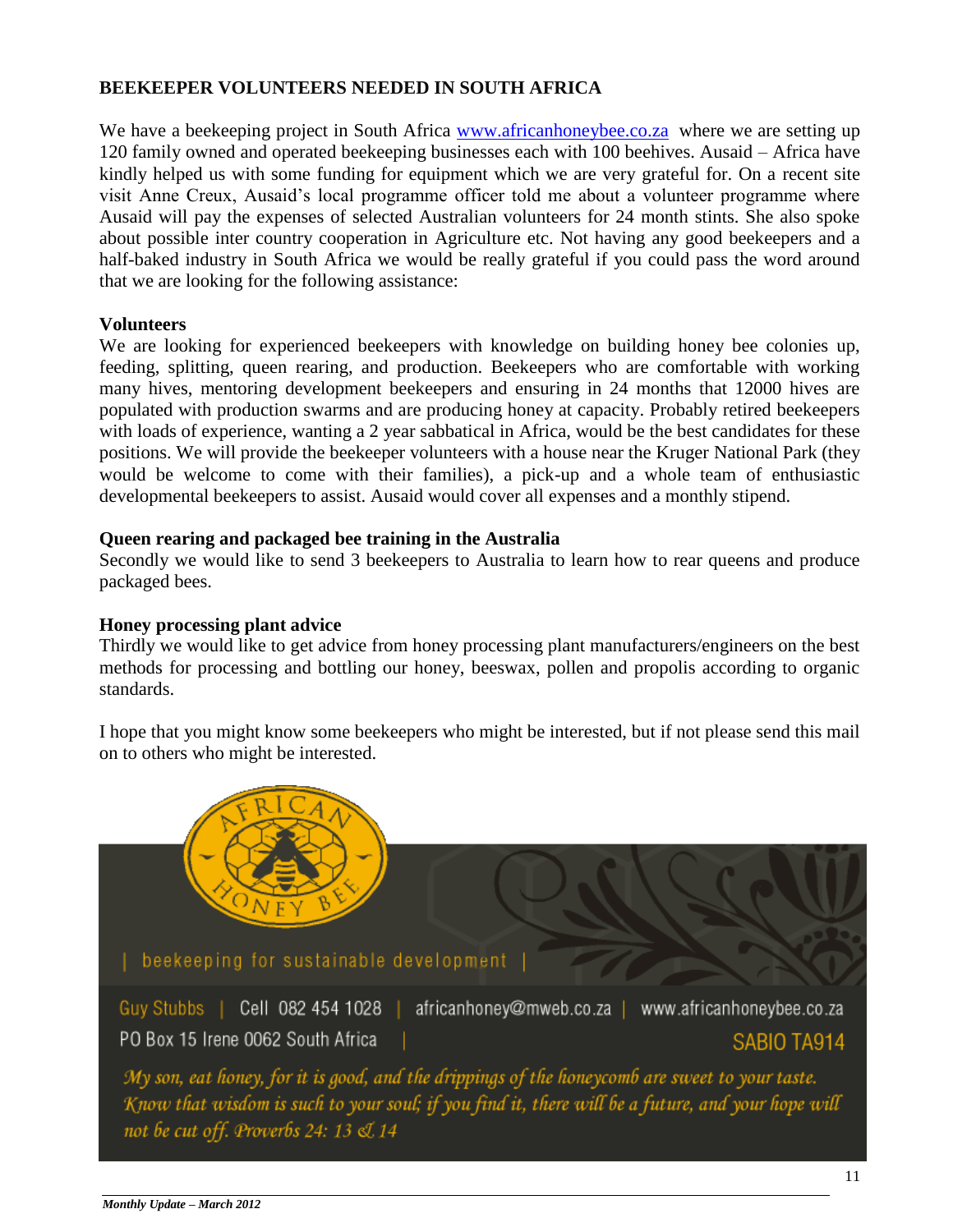#### **BEEKEEPER VOLUNTEERS NEEDED IN SOUTH AFRICA**

We have a beekeeping project in South Africa [www.africanhoneybee.co.za](http://www.africanhoneybee.co.za/) where we are setting up 120 family owned and operated beekeeping businesses each with 100 beehives. Ausaid – Africa have kindly helped us with some funding for equipment which we are very grateful for. On a recent site visit Anne Creux, Ausaid's local programme officer told me about a volunteer programme where Ausaid will pay the expenses of selected Australian volunteers for 24 month stints. She also spoke about possible inter country cooperation in Agriculture etc. Not having any good beekeepers and a half-baked industry in South Africa we would be really grateful if you could pass the word around that we are looking for the following assistance:

#### **Volunteers**

We are looking for experienced beekeepers with knowledge on building honey bee colonies up, feeding, splitting, queen rearing, and production. Beekeepers who are comfortable with working many hives, mentoring development beekeepers and ensuring in 24 months that 12000 hives are populated with production swarms and are producing honey at capacity. Probably retired beekeepers with loads of experience, wanting a 2 year sabbatical in Africa, would be the best candidates for these positions. We will provide the beekeeper volunteers with a house near the Kruger National Park (they would be welcome to come with their families), a pick-up and a whole team of enthusiastic developmental beekeepers to assist. Ausaid would cover all expenses and a monthly stipend.

#### **Queen rearing and packaged bee training in the Australia**

Secondly we would like to send 3 beekeepers to Australia to learn how to rear queens and produce packaged bees.

#### **Honey processing plant advice**

Thirdly we would like to get advice from honey processing plant manufacturers/engineers on the best methods for processing and bottling our honey, beeswax, pollen and propolis according to organic standards.

I hope that you might know some beekeepers who might be interested, but if not please send this mail on to others who might be interested.